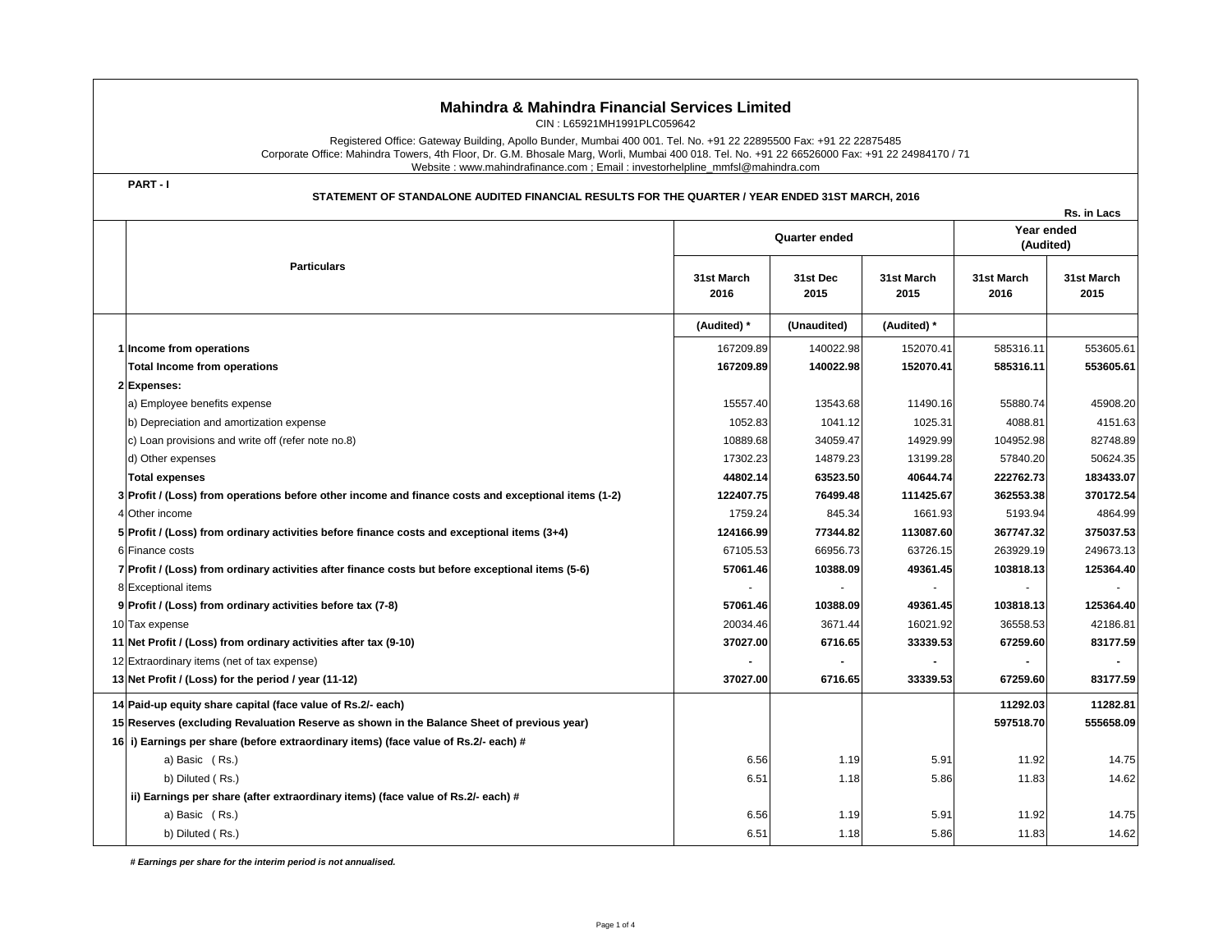# **Mahindra & Mahindra Financial Services Limited**

CIN : L65921MH1991PLC059642

Registered Office: Gateway Building, Apollo Bunder, Mumbai 400 001. Tel. No. +91 22 22895500 Fax: +91 22 22875485 Corporate Office: Mahindra Towers, 4th Floor, Dr. G.M. Bhosale Marg, Worli, Mumbai 400 018. Tel. No. +91 22 66526000 Fax: +91 22 24984170 / 71 Website : www.mahindrafinance.com ; Email : investorhelpline\_mmfsl@mahindra.com

**PART - I**

## **STATEMENT OF STANDALONE AUDITED FINANCIAL RESULTS FOR THE QUARTER / YEAR ENDED 31ST MARCH, 2016**

|  |                                                                                                     |                      |                  |                    |                         | Rs. in Lacs        |
|--|-----------------------------------------------------------------------------------------------------|----------------------|------------------|--------------------|-------------------------|--------------------|
|  | <b>Particulars</b>                                                                                  | <b>Quarter ended</b> |                  |                    | Year ended<br>(Audited) |                    |
|  |                                                                                                     | 31st March<br>2016   | 31st Dec<br>2015 | 31st March<br>2015 | 31st March<br>2016      | 31st March<br>2015 |
|  |                                                                                                     | (Audited) *          | (Unaudited)      | (Audited) *        |                         |                    |
|  | 1 Income from operations                                                                            | 167209.89            | 140022.98        | 152070.41          | 585316.11               | 553605.61          |
|  | <b>Total Income from operations</b>                                                                 | 167209.89            | 140022.98        | 152070.41          | 585316.11               | 553605.61          |
|  | 2 Expenses:                                                                                         |                      |                  |                    |                         |                    |
|  | a) Employee benefits expense                                                                        | 15557.40             | 13543.68         | 11490.16           | 55880.74                | 45908.20           |
|  | b) Depreciation and amortization expense                                                            | 1052.83              | 1041.12          | 1025.31            | 4088.81                 | 4151.63            |
|  | c) Loan provisions and write off (refer note no.8)                                                  | 10889.68             | 34059.47         | 14929.99           | 104952.98               | 82748.89           |
|  | d) Other expenses                                                                                   | 17302.23             | 14879.23         | 13199.28           | 57840.20                | 50624.35           |
|  | <b>Total expenses</b>                                                                               | 44802.14             | 63523.50         | 40644.74           | 222762.73               | 183433.07          |
|  | 3 Profit / (Loss) from operations before other income and finance costs and exceptional items (1-2) | 122407.75            | 76499.48         | 111425.67          | 362553.38               | 370172.54          |
|  | 4 Other income                                                                                      | 1759.24              | 845.34           | 1661.93            | 5193.94                 | 4864.99            |
|  | 5 Profit / (Loss) from ordinary activities before finance costs and exceptional items (3+4)         | 124166.99            | 77344.82         | 113087.60          | 367747.32               | 375037.53          |
|  | 6 Finance costs                                                                                     | 67105.53             | 66956.73         | 63726.15           | 263929.19               | 249673.13          |
|  | 7 Profit / (Loss) from ordinary activities after finance costs but before exceptional items (5-6)   | 57061.46             | 10388.09         | 49361.45           | 103818.13               | 125364.40          |
|  | 8 Exceptional items                                                                                 |                      |                  |                    |                         |                    |
|  | 9 Profit / (Loss) from ordinary activities before tax (7-8)                                         | 57061.46             | 10388.09         | 49361.45           | 103818.13               | 125364.40          |
|  | 10 Tax expense                                                                                      | 20034.46             | 3671.44          | 16021.92           | 36558.53                | 42186.81           |
|  | 11 Net Profit / (Loss) from ordinary activities after tax (9-10)                                    | 37027.00             | 6716.65          | 33339.53           | 67259.60                | 83177.59           |
|  | 12 Extraordinary items (net of tax expense)                                                         |                      |                  |                    |                         |                    |
|  | 13 Net Profit / (Loss) for the period / year (11-12)                                                | 37027.00             | 6716.65          | 33339.53           | 67259.60                | 83177.59           |
|  | 14 Paid-up equity share capital (face value of Rs.2/- each)                                         |                      |                  |                    | 11292.03                | 11282.81           |
|  | 15 Reserves (excluding Revaluation Reserve as shown in the Balance Sheet of previous year)          |                      |                  |                    | 597518.70               | 555658.09          |
|  | 16 i) Earnings per share (before extraordinary items) (face value of Rs.2/- each) #                 |                      |                  |                    |                         |                    |
|  | a) Basic (Rs.)                                                                                      | 6.56                 | 1.19             | 5.91               | 11.92                   | 14.75              |
|  | b) Diluted (Rs.)                                                                                    | 6.51                 | 1.18             | 5.86               | 11.83                   | 14.62              |
|  | ii) Earnings per share (after extraordinary items) (face value of Rs.2/- each) #                    |                      |                  |                    |                         |                    |
|  | a) Basic (Rs.)                                                                                      | 6.56                 | 1.19             | 5.91               | 11.92                   | 14.75              |
|  | b) Diluted (Rs.)                                                                                    | 6.51                 | 1.18             | 5.86               | 11.83                   | 14.62              |

 *# Earnings per share for the interim period is not annualised.*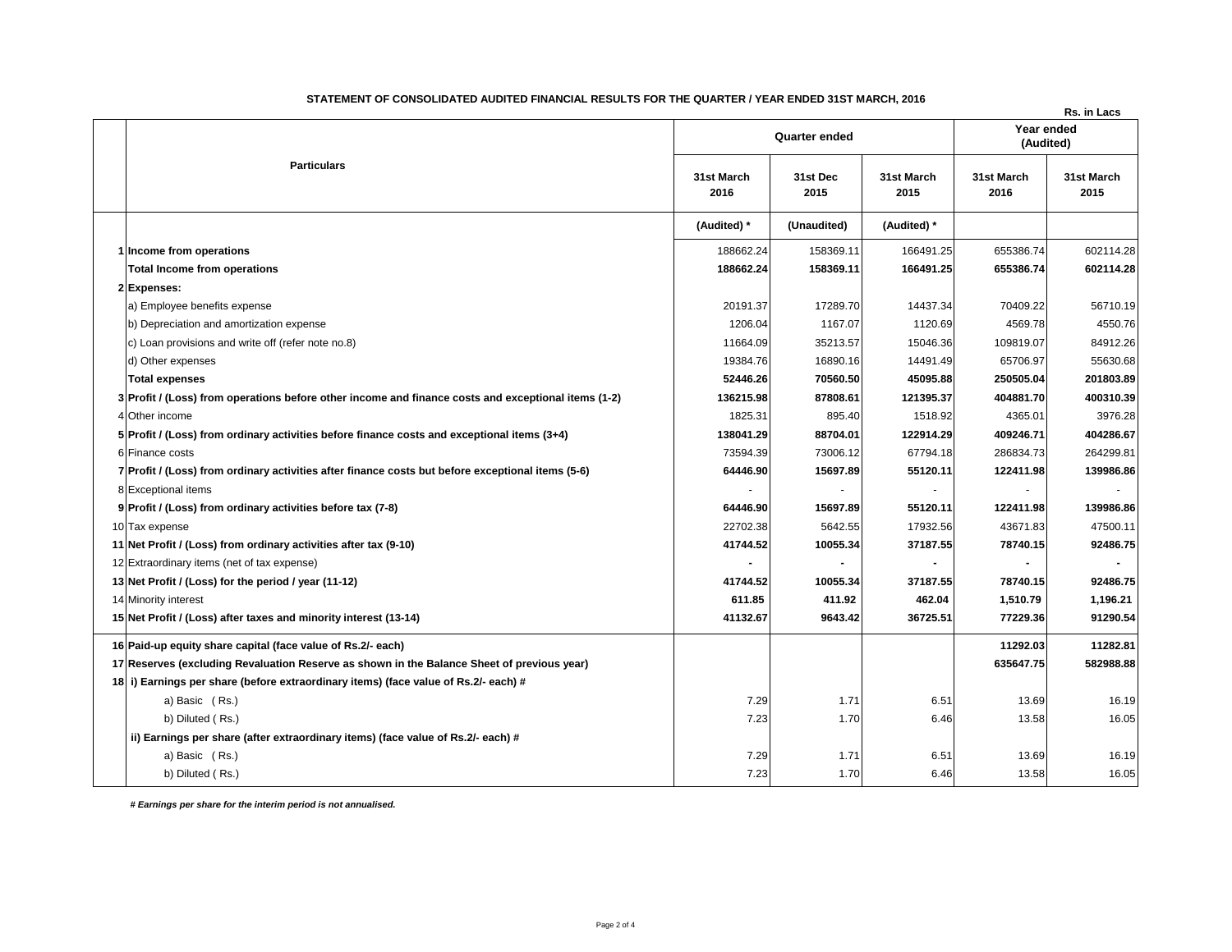|                                                                                  |                                                                                                                                                                                                                                                                                                                                                                                                                                                                                                                                                                                                                                                                                                                                                                                                                                                                                                                                                                                                                            |                  |                    |                         | Rs. in Lacs        |
|----------------------------------------------------------------------------------|----------------------------------------------------------------------------------------------------------------------------------------------------------------------------------------------------------------------------------------------------------------------------------------------------------------------------------------------------------------------------------------------------------------------------------------------------------------------------------------------------------------------------------------------------------------------------------------------------------------------------------------------------------------------------------------------------------------------------------------------------------------------------------------------------------------------------------------------------------------------------------------------------------------------------------------------------------------------------------------------------------------------------|------------------|--------------------|-------------------------|--------------------|
|                                                                                  | <b>Quarter ended</b>                                                                                                                                                                                                                                                                                                                                                                                                                                                                                                                                                                                                                                                                                                                                                                                                                                                                                                                                                                                                       |                  |                    | Year ended<br>(Audited) |                    |
| <b>Particulars</b>                                                               | 31st March<br>2016                                                                                                                                                                                                                                                                                                                                                                                                                                                                                                                                                                                                                                                                                                                                                                                                                                                                                                                                                                                                         | 31st Dec<br>2015 | 31st March<br>2015 | 31st March<br>2016      | 31st March<br>2015 |
|                                                                                  | (Audited) *                                                                                                                                                                                                                                                                                                                                                                                                                                                                                                                                                                                                                                                                                                                                                                                                                                                                                                                                                                                                                | (Unaudited)      | (Audited)*         |                         |                    |
|                                                                                  | 188662.24                                                                                                                                                                                                                                                                                                                                                                                                                                                                                                                                                                                                                                                                                                                                                                                                                                                                                                                                                                                                                  | 158369.11        | 166491.25          | 655386.74               | 602114.28          |
| Total Income from operations                                                     | 188662.24                                                                                                                                                                                                                                                                                                                                                                                                                                                                                                                                                                                                                                                                                                                                                                                                                                                                                                                                                                                                                  | 158369.11        | 166491.25          | 655386.74               | 602114.28          |
|                                                                                  |                                                                                                                                                                                                                                                                                                                                                                                                                                                                                                                                                                                                                                                                                                                                                                                                                                                                                                                                                                                                                            |                  |                    |                         |                    |
| a) Employee benefits expense                                                     | 20191.37                                                                                                                                                                                                                                                                                                                                                                                                                                                                                                                                                                                                                                                                                                                                                                                                                                                                                                                                                                                                                   | 17289.70         | 14437.34           | 70409.22                | 56710.19           |
| b) Depreciation and amortization expense                                         | 1206.04                                                                                                                                                                                                                                                                                                                                                                                                                                                                                                                                                                                                                                                                                                                                                                                                                                                                                                                                                                                                                    | 1167.07          | 1120.69            | 4569.78                 | 4550.76            |
| c) Loan provisions and write off (refer note no.8)                               | 11664.09                                                                                                                                                                                                                                                                                                                                                                                                                                                                                                                                                                                                                                                                                                                                                                                                                                                                                                                                                                                                                   | 35213.57         | 15046.36           | 109819.07               | 84912.26           |
| d) Other expenses                                                                | 19384.76                                                                                                                                                                                                                                                                                                                                                                                                                                                                                                                                                                                                                                                                                                                                                                                                                                                                                                                                                                                                                   | 16890.16         | 14491.49           | 65706.97                | 55630.68           |
| <b>Total expenses</b>                                                            | 52446.26                                                                                                                                                                                                                                                                                                                                                                                                                                                                                                                                                                                                                                                                                                                                                                                                                                                                                                                                                                                                                   | 70560.50         | 45095.88           | 250505.04               | 201803.89          |
|                                                                                  | 136215.98                                                                                                                                                                                                                                                                                                                                                                                                                                                                                                                                                                                                                                                                                                                                                                                                                                                                                                                                                                                                                  | 87808.61         | 121395.37          | 404881.70               | 400310.39          |
|                                                                                  | 1825.31                                                                                                                                                                                                                                                                                                                                                                                                                                                                                                                                                                                                                                                                                                                                                                                                                                                                                                                                                                                                                    | 895.40           | 1518.92            | 4365.01                 | 3976.28            |
|                                                                                  | 138041.29                                                                                                                                                                                                                                                                                                                                                                                                                                                                                                                                                                                                                                                                                                                                                                                                                                                                                                                                                                                                                  | 88704.01         | 122914.29          | 409246.71               | 404286.67          |
|                                                                                  | 73594.39                                                                                                                                                                                                                                                                                                                                                                                                                                                                                                                                                                                                                                                                                                                                                                                                                                                                                                                                                                                                                   | 73006.12         | 67794.18           | 286834.73               | 264299.81          |
|                                                                                  | 64446.90                                                                                                                                                                                                                                                                                                                                                                                                                                                                                                                                                                                                                                                                                                                                                                                                                                                                                                                                                                                                                   | 15697.89         | 55120.11           | 122411.98               | 139986.86          |
|                                                                                  |                                                                                                                                                                                                                                                                                                                                                                                                                                                                                                                                                                                                                                                                                                                                                                                                                                                                                                                                                                                                                            |                  |                    |                         |                    |
|                                                                                  | 64446.90                                                                                                                                                                                                                                                                                                                                                                                                                                                                                                                                                                                                                                                                                                                                                                                                                                                                                                                                                                                                                   | 15697.89         | 55120.11           | 122411.98               | 139986.86          |
|                                                                                  | 22702.38                                                                                                                                                                                                                                                                                                                                                                                                                                                                                                                                                                                                                                                                                                                                                                                                                                                                                                                                                                                                                   | 5642.55          | 17932.56           | 43671.83                | 47500.11           |
|                                                                                  | 41744.52                                                                                                                                                                                                                                                                                                                                                                                                                                                                                                                                                                                                                                                                                                                                                                                                                                                                                                                                                                                                                   | 10055.34         | 37187.55           | 78740.15                | 92486.75           |
|                                                                                  |                                                                                                                                                                                                                                                                                                                                                                                                                                                                                                                                                                                                                                                                                                                                                                                                                                                                                                                                                                                                                            |                  |                    | $\blacksquare$          |                    |
|                                                                                  | 41744.52                                                                                                                                                                                                                                                                                                                                                                                                                                                                                                                                                                                                                                                                                                                                                                                                                                                                                                                                                                                                                   | 10055.34         | 37187.55           | 78740.15                | 92486.75           |
|                                                                                  | 611.85                                                                                                                                                                                                                                                                                                                                                                                                                                                                                                                                                                                                                                                                                                                                                                                                                                                                                                                                                                                                                     | 411.92           | 462.04             | 1,510.79                | 1,196.21           |
|                                                                                  | 41132.67                                                                                                                                                                                                                                                                                                                                                                                                                                                                                                                                                                                                                                                                                                                                                                                                                                                                                                                                                                                                                   | 9643.42          | 36725.51           | 77229.36                | 91290.54           |
|                                                                                  |                                                                                                                                                                                                                                                                                                                                                                                                                                                                                                                                                                                                                                                                                                                                                                                                                                                                                                                                                                                                                            |                  |                    | 11292.03                | 11282.81           |
|                                                                                  |                                                                                                                                                                                                                                                                                                                                                                                                                                                                                                                                                                                                                                                                                                                                                                                                                                                                                                                                                                                                                            |                  |                    | 635647.75               | 582988.88          |
|                                                                                  |                                                                                                                                                                                                                                                                                                                                                                                                                                                                                                                                                                                                                                                                                                                                                                                                                                                                                                                                                                                                                            |                  |                    |                         |                    |
| a) Basic (Rs.)                                                                   | 7.29                                                                                                                                                                                                                                                                                                                                                                                                                                                                                                                                                                                                                                                                                                                                                                                                                                                                                                                                                                                                                       | 1.71             | 6.51               | 13.69                   | 16.19              |
| b) Diluted (Rs.)                                                                 | 7.23                                                                                                                                                                                                                                                                                                                                                                                                                                                                                                                                                                                                                                                                                                                                                                                                                                                                                                                                                                                                                       | 1.70             | 6.46               | 13.58                   | 16.05              |
| ii) Earnings per share (after extraordinary items) (face value of Rs.2/- each) # |                                                                                                                                                                                                                                                                                                                                                                                                                                                                                                                                                                                                                                                                                                                                                                                                                                                                                                                                                                                                                            |                  |                    |                         |                    |
| a) Basic (Rs.)                                                                   | 7.29                                                                                                                                                                                                                                                                                                                                                                                                                                                                                                                                                                                                                                                                                                                                                                                                                                                                                                                                                                                                                       | 1.71             | 6.51               | 13.69                   | 16.19              |
| b) Diluted (Rs.)                                                                 | 7.23                                                                                                                                                                                                                                                                                                                                                                                                                                                                                                                                                                                                                                                                                                                                                                                                                                                                                                                                                                                                                       | 1.70             | 6.46               | 13.58                   | 16.05              |
|                                                                                  | 1 Income from operations<br>2 Expenses:<br>3 Profit / (Loss) from operations before other income and finance costs and exceptional items (1-2)<br>4 Other income<br>5 Profit / (Loss) from ordinary activities before finance costs and exceptional items (3+4)<br>6 Finance costs<br>7 Profit / (Loss) from ordinary activities after finance costs but before exceptional items (5-6)<br>8 Exceptional items<br>9 Profit / (Loss) from ordinary activities before tax (7-8)<br>10 Tax expense<br>11 Net Profit / (Loss) from ordinary activities after tax (9-10)<br>12 Extraordinary items (net of tax expense)<br>13 Net Profit / (Loss) for the period / year (11-12)<br>14 Minority interest<br>15 Net Profit / (Loss) after taxes and minority interest (13-14)<br>16 Paid-up equity share capital (face value of Rs.2/- each)<br>17 Reserves (excluding Revaluation Reserve as shown in the Balance Sheet of previous year)<br>18 i) Earnings per share (before extraordinary items) (face value of Rs.2/- each) # |                  |                    |                         |                    |

## **STATEMENT OF CONSOLIDATED AUDITED FINANCIAL RESULTS FOR THE QUARTER / YEAR ENDED 31ST MARCH, 2016**

 *# Earnings per share for the interim period is not annualised.*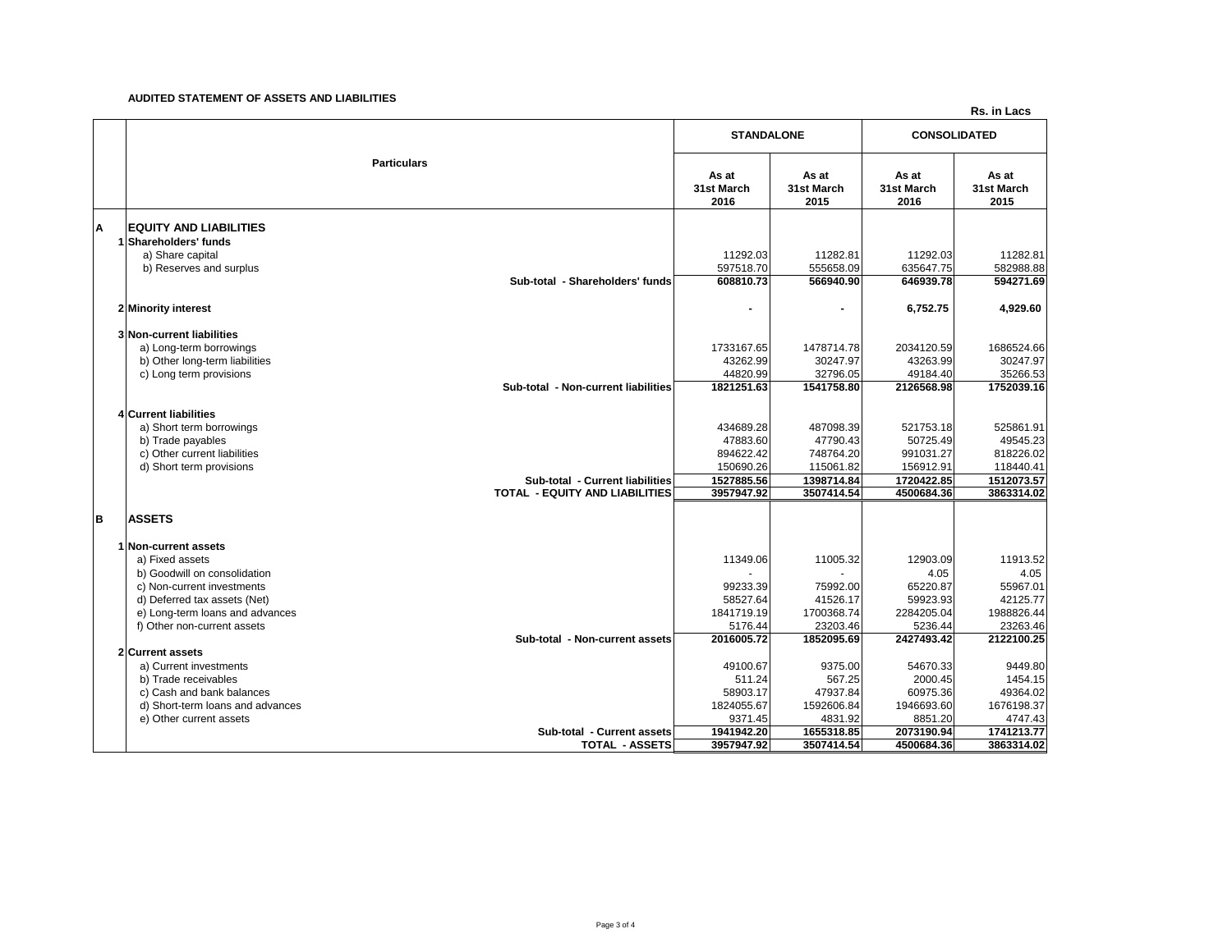#### **AUDITED STATEMENT OF ASSETS AND LIABILITIES**

**Rs. in Lacs**

|   |                                                                          |                             | <b>STANDALONE</b>           |                             | <b>CONSOLIDATED</b>         |  |
|---|--------------------------------------------------------------------------|-----------------------------|-----------------------------|-----------------------------|-----------------------------|--|
|   | <b>Particulars</b>                                                       | As at<br>31st March<br>2016 | As at<br>31st March<br>2015 | As at<br>31st March<br>2016 | As at<br>31st March<br>2015 |  |
| Α | <b>EQUITY AND LIABILITIES</b>                                            |                             |                             |                             |                             |  |
|   | 1 Shareholders' funds<br>a) Share capital<br>b) Reserves and surplus     | 11292.03<br>597518.70       | 11282.81<br>555658.09       | 11292.03<br>635647.75       | 11282.81<br>582988.88       |  |
|   | Sub-total - Shareholders' funds                                          | 608810.73                   | 566940.90                   | 646939.78                   | 594271.69                   |  |
|   | 2 Minority interest                                                      |                             | $\blacksquare$              | 6,752.75                    | 4,929.60                    |  |
|   | 3 Non-current liabilities<br>a) Long-term borrowings                     | 1733167.65                  | 1478714.78                  | 2034120.59                  | 1686524.66                  |  |
|   | b) Other long-term liabilities                                           | 43262.99                    | 30247.97                    | 43263.99                    | 30247.97                    |  |
|   | c) Long term provisions<br>Sub-total - Non-current liabilities           | 44820.99<br>1821251.63      | 32796.05<br>1541758.80      | 49184.40<br>2126568.98      | 35266.53<br>1752039.16      |  |
|   | <b>4 Current liabilities</b>                                             |                             |                             |                             |                             |  |
|   | a) Short term borrowings                                                 | 434689.28                   | 487098.39                   | 521753.18                   | 525861.91                   |  |
|   | b) Trade payables<br>c) Other current liabilities                        | 47883.60<br>894622.42       | 47790.43<br>748764.20       | 50725.49<br>991031.27       | 49545.23<br>818226.02       |  |
|   | d) Short term provisions                                                 | 150690.26                   | 115061.82                   | 156912.91                   | 118440.41                   |  |
|   | Sub-total - Current liabilities<br><b>TOTAL - EQUITY AND LIABILITIES</b> | 1527885.56<br>3957947.92    | 1398714.84<br>3507414.54    | 1720422.85<br>4500684.36    | 1512073.57<br>3863314.02    |  |
| в | <b>ASSETS</b>                                                            |                             |                             |                             |                             |  |
|   | 1 Non-current assets                                                     |                             |                             |                             |                             |  |
|   | a) Fixed assets                                                          | 11349.06                    | 11005.32                    | 12903.09                    | 11913.52                    |  |
|   | b) Goodwill on consolidation<br>c) Non-current investments               | 99233.39                    | 75992.00                    | 4.05<br>65220.87            | 4.05<br>55967.01            |  |
|   | d) Deferred tax assets (Net)                                             | 58527.64                    | 41526.17                    | 59923.93                    | 42125.77                    |  |
|   | e) Long-term loans and advances                                          | 1841719.19                  | 1700368.74                  | 2284205.04                  | 1988826.44                  |  |
|   | f) Other non-current assets<br>Sub-total - Non-current assets            | 5176.44<br>2016005.72       | 23203.46<br>1852095.69      | 5236.44<br>2427493.42       | 23263.46<br>2122100.25      |  |
|   | 2 Current assets                                                         |                             |                             |                             |                             |  |
|   | a) Current investments                                                   | 49100.67                    | 9375.00                     | 54670.33                    | 9449.80                     |  |
|   | b) Trade receivables<br>c) Cash and bank balances                        | 511.24<br>58903.17          | 567.25<br>47937.84          | 2000.45<br>60975.36         | 1454.15<br>49364.02         |  |
|   | d) Short-term loans and advances                                         | 1824055.67                  | 1592606.84                  | 1946693.60                  | 1676198.37                  |  |
|   | e) Other current assets                                                  | 9371.45                     | 4831.92                     | 8851.20                     | 4747.43                     |  |
|   | Sub-total - Current assets<br><b>TOTAL - ASSETS</b>                      | 1941942.20<br>3957947.92    | 1655318.85<br>3507414.54    | 2073190.94<br>4500684.36    | 1741213.77<br>3863314.02    |  |